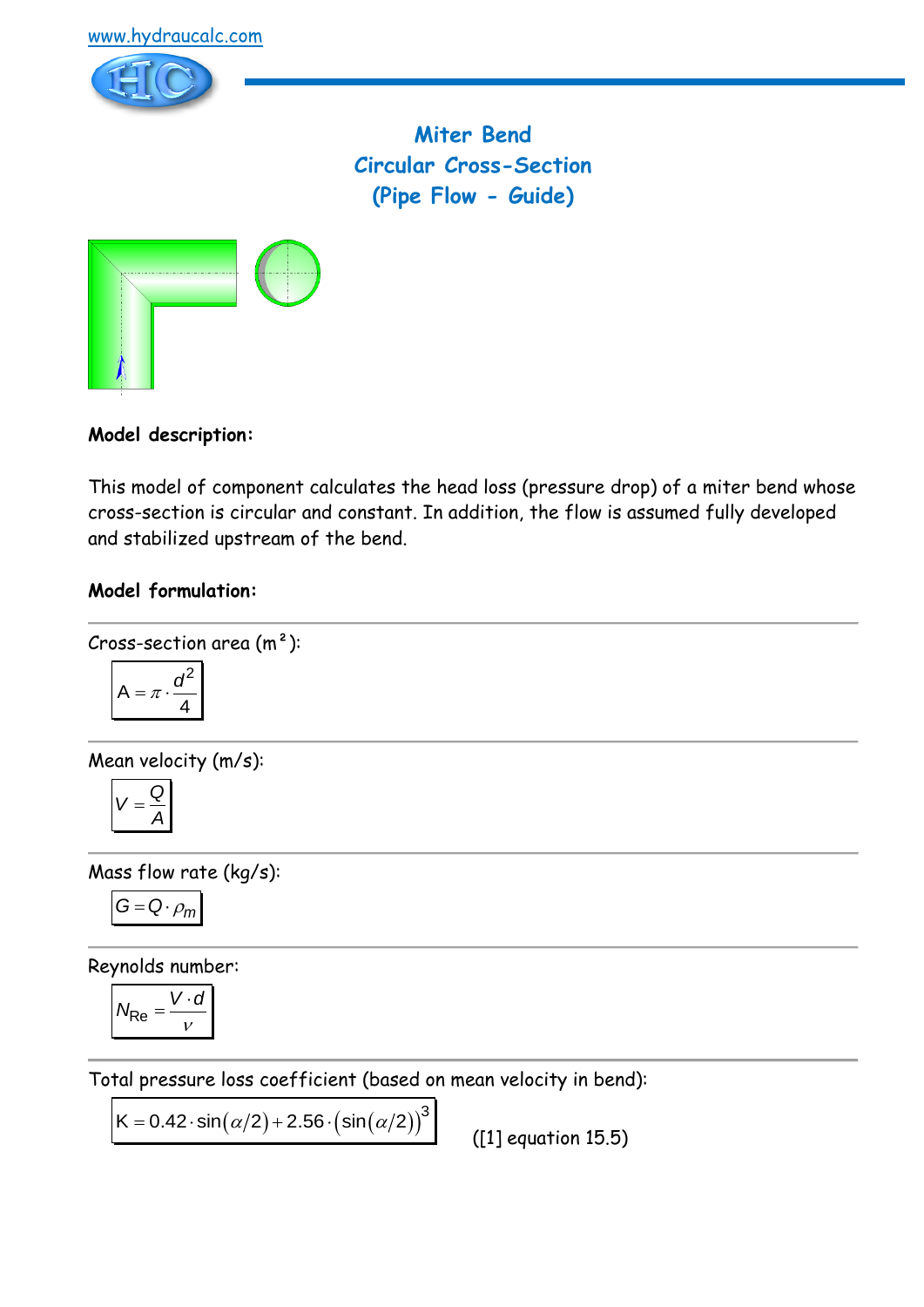



**Miter Bend Circular Cross-Section (Pipe Flow - Guide)**



**Model description:**

This model of component calculates the head loss (pressure drop) of a miter bend whose cross-section is circular and constant. In addition, the flow is assumed fully developed and stabilized upstream of the bend.

## **Model formulation:**

Cross-section area  $(m<sup>2</sup>)$ :

$$
A = \pi \cdot \frac{d^2}{4}
$$

Mean velocity (m/s):

$$
V=\frac{Q}{A}
$$

Mass flow rate (kg/s):

$$
G=Q\cdot \rho_m
$$

Reynolds number:

$$
N_{\text{Re}} = \frac{V \cdot d}{v}
$$

Total pressure loss coefficient (based on mean velocity in bend):

 $(\alpha/2)$ +2.56 $\cdot$  $(\sin(\alpha/2))^3$ K =  $0.42 \cdot \sin(\alpha/2) + 2.56 \cdot (\sin(\alpha/2))^3$ 

 $(I1)$  equation 15.5)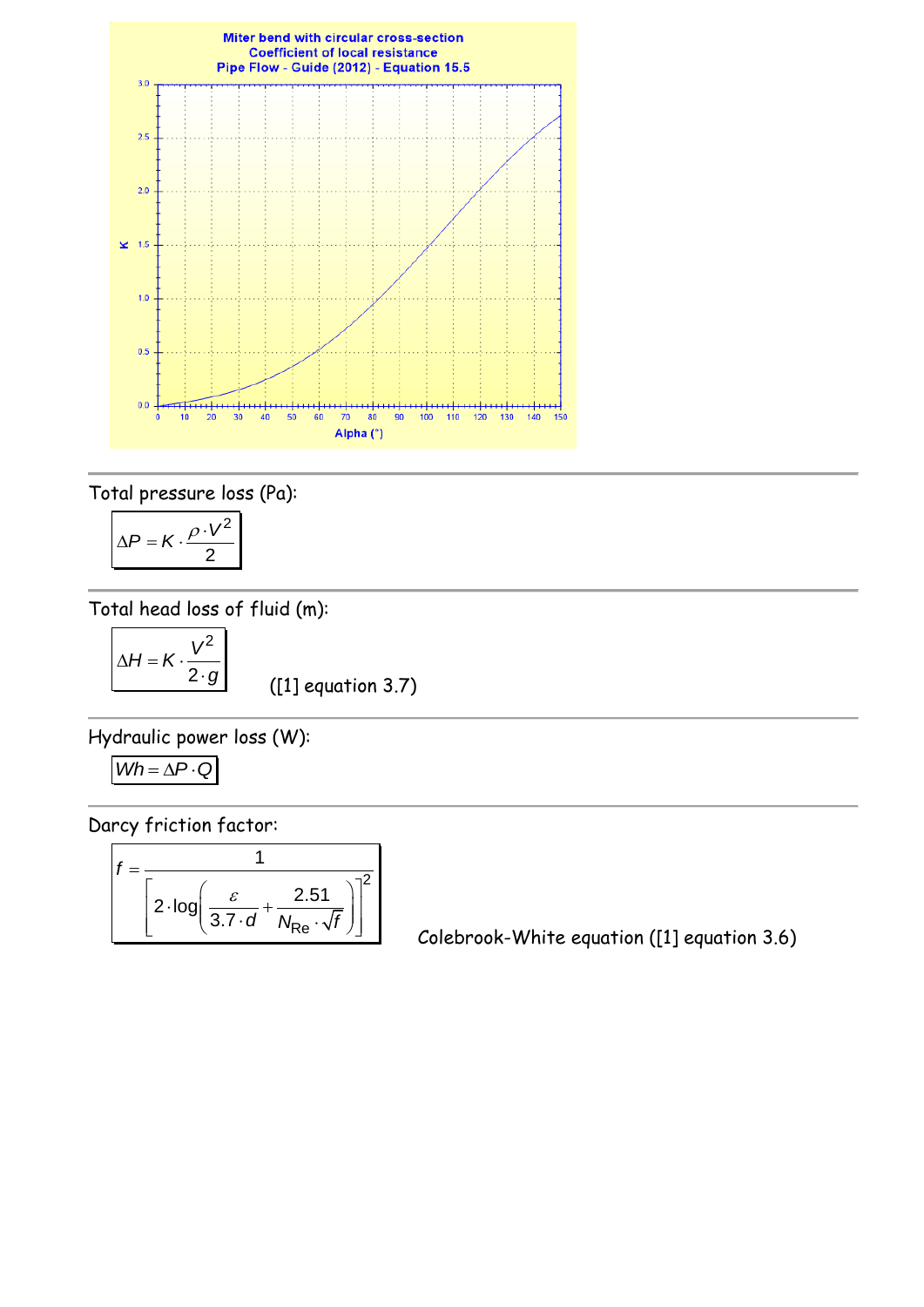

Total pressure loss (Pa):

$$
\Delta P = K \cdot \frac{\rho \cdot V^2}{2}
$$

Total head loss of fluid (m):

$$
\Delta H = K \cdot \frac{V^2}{2 \cdot g}
$$

([1] equation 3.7)

Hydraulic power loss (W):

$$
Wh = \Delta P \cdot Q
$$

Darcy friction factor:

$$
f = \frac{1}{\left[2 \cdot \log \left(\frac{\varepsilon}{3.7 \cdot d} + \frac{2.51}{N_{\text{Re}} \cdot \sqrt{f}}\right)\right]^2}
$$

Colebrook-White equation ([1] equation 3.6)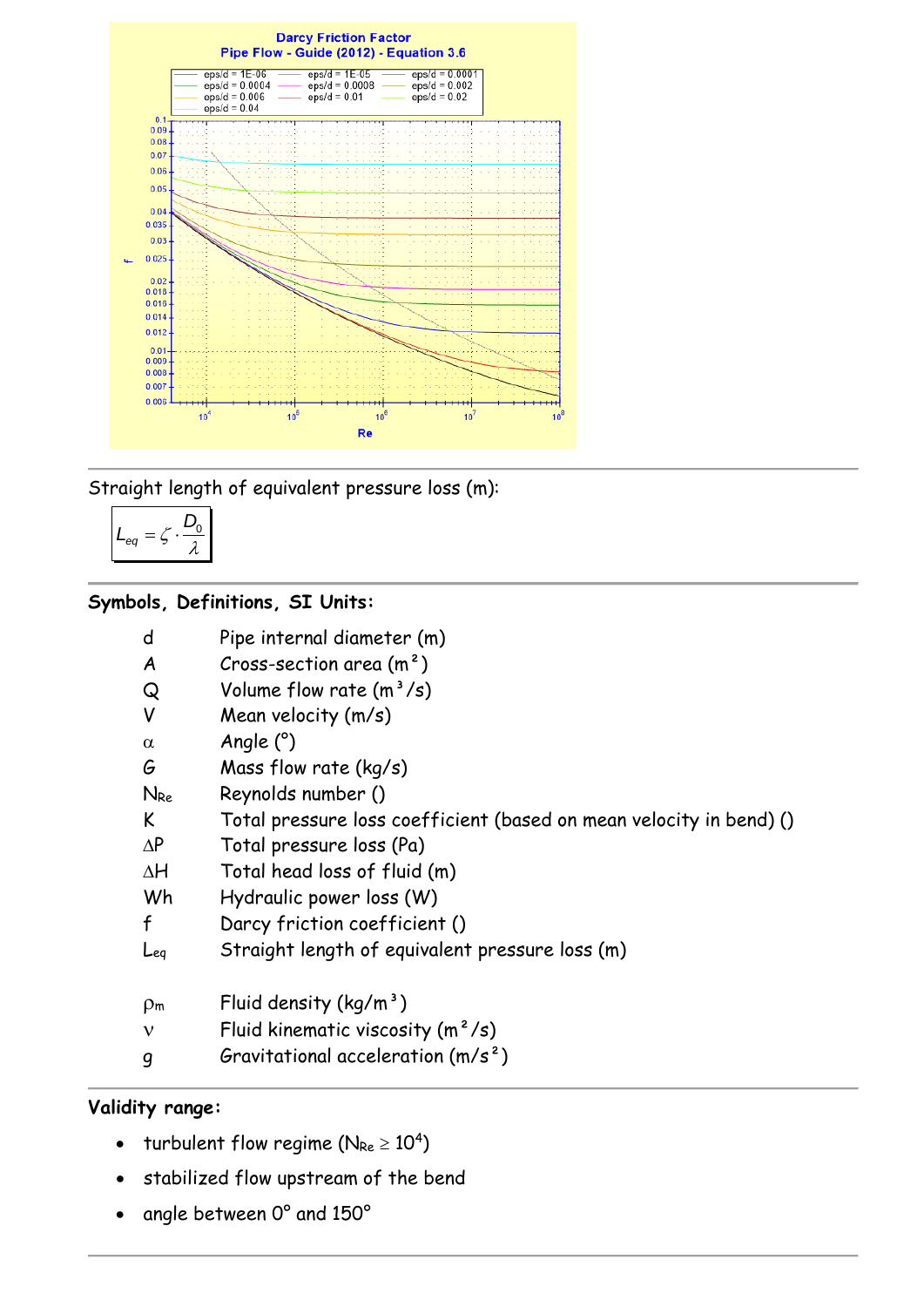

Straight length of equivalent pressure loss (m):

$$
L_{eq} = \zeta \cdot \frac{D_0}{\lambda}
$$

## **Symbols, Definitions, SI Units:**

| d | Pipe internal diameter (m) |  |
|---|----------------------------|--|
|   |                            |  |

- $A$  Cross-section area  $(m<sup>2</sup>)$
- $Q$  Volume flow rate  $(m^3/s)$
- V Mean velocity (m/s)
- $\alpha$  Angle (°)
- G Mass flow rate (kg/s)
- NRe Reynolds number ()
- K Total pressure loss coefficient (based on mean velocity in bend) ()
- $\Delta P$  Total pressure loss (Pa)
- $\Delta H$  Total head loss of fluid (m)
- Wh Hydraulic power loss (W)
- f Darcy friction coefficient ()
- Leq Straight length of equivalent pressure loss (m)
- $p_m$  Fluid density (kg/m<sup>3</sup>)
- $v$  Fluid kinematic viscosity  $(m^2/s)$
- $g$  Gravitational acceleration  $(m/s^2)$

## **Validity range:**

- turbulent flow regime ( $N_{\text{Re}} \geq 10^4$ )
- stabilized flow upstream of the bend
- angle between 0° and 150°